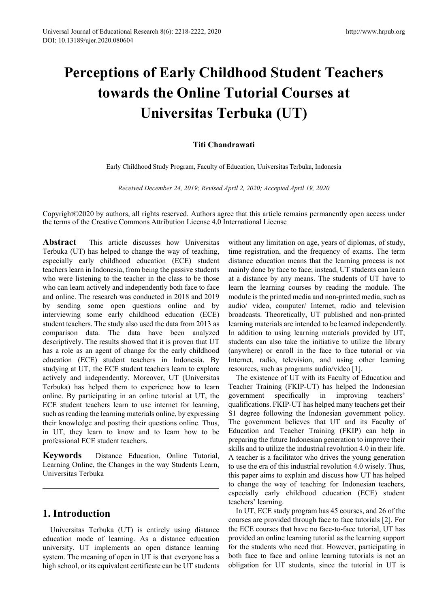# **Perceptions of Early Childhood Student Teachers towards the Online Tutorial Courses at Universitas Terbuka (UT)**

## **Titi Chandrawati**

Early Childhood Study Program, Faculty of Education, Universitas Terbuka, Indonesia

*Received December 24, 2019; Revised April 2, 2020; Accepted April 19, 2020*

Copyright©2020 by authors, all rights reserved. Authors agree that this article remains permanently open access under the terms of the Creative Commons Attribution License 4.0 International License

**Abstract** This article discusses how Universitas Terbuka (UT) has helped to change the way of teaching, especially early childhood education (ECE) student teachers learn in Indonesia, from being the passive students who were listening to the teacher in the class to be those who can learn actively and independently both face to face and online. The research was conducted in 2018 and 2019 by sending some open questions online and by interviewing some early childhood education (ECE) student teachers. The study also used the data from 2013 as comparison data. The data have been analyzed descriptively. The results showed that it is proven that UT has a role as an agent of change for the early childhood education (ECE) student teachers in Indonesia. By studying at UT, the ECE student teachers learn to explore actively and independently. Moreover, UT (Universitas Terbuka) has helped them to experience how to learn online. By participating in an online tutorial at UT, the ECE student teachers learn to use internet for learning, such as reading the learning materials online, by expressing their knowledge and posting their questions online. Thus, in UT, they learn to know and to learn how to be professional ECE student teachers.

**Keywords** Distance Education, Online Tutorial, Learning Online, the Changes in the way Students Learn, Universitas Terbuka

## **1. Introduction**

Universitas Terbuka (UT) is entirely using distance education mode of learning. As a distance education university, UT implements an open distance learning system. The meaning of open in UT is that everyone has a high school, or its equivalent certificate can be UT students

without any limitation on age, years of diplomas, of study, time registration, and the frequency of exams. The term distance education means that the learning process is not mainly done by face to face; instead, UT students can learn at a distance by any means. The students of UT have to learn the learning courses by reading the module. The module is the printed media and non-printed media, such as audio/ video, computer/ Internet, radio and television broadcasts. Theoretically, UT published and non-printed learning materials are intended to be learned independently. In addition to using learning materials provided by UT, students can also take the initiative to utilize the library (anywhere) or enroll in the face to face tutorial or via Internet, radio, television, and using other learning resources, such as programs audio/video [1].

The existence of UT with its Faculty of Education and Teacher Training (FKIP-UT) has helped the Indonesian government specifically in improving teachers' qualifications. FKIP-UT has helped many teachers get their S1 degree following the Indonesian government policy. The government believes that UT and its Faculty of Education and Teacher Training (FKIP) can help in preparing the future Indonesian generation to improve their skills and to utilize the industrial revolution 4.0 in their life. A teacher is a facilitator who drives the young generation to use the era of this industrial revolution 4.0 wisely. Thus, this paper aims to explain and discuss how UT has helped to change the way of teaching for Indonesian teachers, especially early childhood education (ECE) student teachers' learning.

In UT, ECE study program has 45 courses, and 26 of the courses are provided through face to face tutorials [2]. For the ECE courses that have no face-to-face tutorial, UT has provided an online learning tutorial as the learning support for the students who need that. However, participating in both face to face and online learning tutorials is not an obligation for UT students, since the tutorial in UT is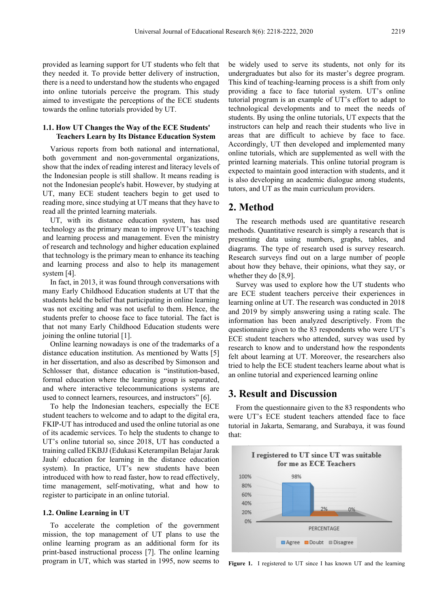provided as learning support for UT students who felt that they needed it. To provide better delivery of instruction, there is a need to understand how the students who engaged into online tutorials perceive the program. This study aimed to investigate the perceptions of the ECE students towards the online tutorials provided by UT.

#### **1.1. How UT Changes the Way of the ECE Students' Teachers Learn by Its Distance Education System**

Various reports from both national and international, both government and non-governmental organizations, show that the index of reading interest and literacy levels of the Indonesian people is still shallow. It means reading is not the Indonesian people's habit. However, by studying at UT, many ECE student teachers begin to get used to reading more, since studying at UT means that they have to read all the printed learning materials.

UT, with its distance education system, has used technology as the primary mean to improve UT's teaching and learning process and management. Even the ministry of research and technology and higher education explained that technology is the primary mean to enhance its teaching and learning process and also to help its management system [4].

In fact, in 2013, it was found through conversations with many Early Childhood Education students at UT that the students held the belief that participating in online learning was not exciting and was not useful to them. Hence, the students prefer to choose face to face tutorial. The fact is that not many Early Childhood Education students were joining the online tutorial [1].

Online learning nowadays is one of the trademarks of a distance education institution. As mentioned by Watts [5] in her dissertation, and also as described by Simonson and Schlosser that, distance education is "institution-based, formal education where the learning group is separated, and where interactive telecommunications systems are used to connect learners, resources, and instructors" [6].

To help the Indonesian teachers, especially the ECE student teachers to welcome and to adapt to the digital era, FKIP-UT has introduced and used the online tutorial as one of its academic services. To help the students to change to UT's online tutorial so, since 2018, UT has conducted a training called EKBJJ (Edukasi Keterampilan Belajar Jarak Jauh/ education for learning in the distance education system). In practice, UT's new students have been introduced with how to read faster, how to read effectively, time management, self-motivating, what and how to register to participate in an online tutorial.

#### **1.2. Online Learning in UT**

To accelerate the completion of the government mission, the top management of UT plans to use the online learning program as an additional form for its print-based instructional process [7]. The online learning program in UT, which was started in 1995, now seems to

be widely used to serve its students, not only for its undergraduates but also for its master's degree program. This kind of teaching-learning process is a shift from only providing a face to face tutorial system. UT's online tutorial program is an example of UT's effort to adapt to technological developments and to meet the needs of students. By using the online tutorials, UT expects that the instructors can help and reach their students who live in areas that are difficult to achieve by face to face. Accordingly, UT then developed and implemented many online tutorials, which are supplemented as well with the printed learning materials. This online tutorial program is expected to maintain good interaction with students, and it is also developing an academic dialogue among students, tutors, and UT as the main curriculum providers.

## **2. Method**

The research methods used are quantitative research methods. Quantitative research is simply a research that is presenting data using numbers, graphs, tables, and diagrams. The type of research used is survey research. Research surveys find out on a large number of people about how they behave, their opinions, what they say, or whether they do [8,9].

Survey was used to explore how the UT students who are ECE student teachers perceive their experiences in learning online at UT. The research was conducted in 2018 and 2019 by simply answering using a rating scale. The information has been analyzed descriptively. From the questionnaire given to the 83 respondents who were UT's ECE student teachers who attended, survey was used by research to know and to understand how the respondents felt about learning at UT. Moreover, the researchers also tried to help the ECE student teachers learne about what is an online tutorial and experienced learning online

## **3. Result and Discussion**

From the questionnaire given to the 83 respondents who were UT's ECE student teachers attended face to face tutorial in Jakarta, Semarang, and Surabaya, it was found that:



**Figure 1.** I registered to UT since I has known UT and the learning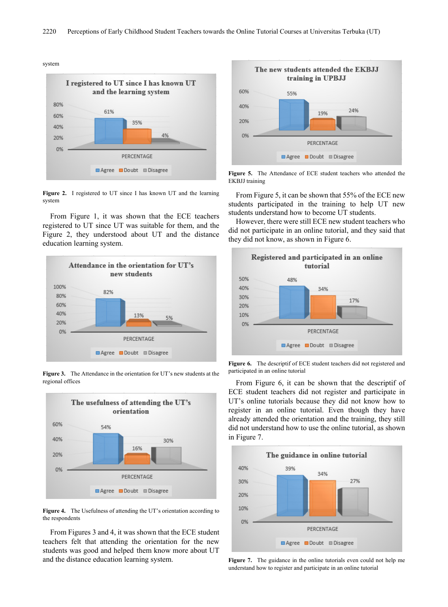system



**Figure 2.** I registered to UT since I has known UT and the learning system

From Figure 1, it was shown that the ECE teachers registered to UT since UT was suitable for them, and the Figure 2, they understood about UT and the distance education learning system.



**Figure 3.** The Attendance in the orientation for UT's new students at the regional offices



**Figure 4.** The Usefulness of attending the UT's orientation according to the respondents

From Figures 3 and 4, it was shown that the ECE student teachers felt that attending the orientation for the new students was good and helped them know more about UT and the distance education learning system.



**Figure 5.** The Attendance of ECE student teachers who attended the EKBJJ training

From Figure 5, it can be shown that 55% of the ECE new students participated in the training to help UT new students understand how to become UT students.

However, there were still ECE new student teachers who did not participate in an online tutorial, and they said that they did not know, as shown in Figure 6.



**Figure 6.** The descriptif of ECE student teachers did not registered and participated in an online tutorial

From Figure 6, it can be shown that the descriptif of ECE student teachers did not register and participate in UT's online tutorials because they did not know how to register in an online tutorial. Even though they have already attended the orientation and the training, they still did not understand how to use the online tutorial, as shown in Figure 7.



**Figure 7.** The guidance in the online tutorials even could not help me understand how to register and participate in an online tutorial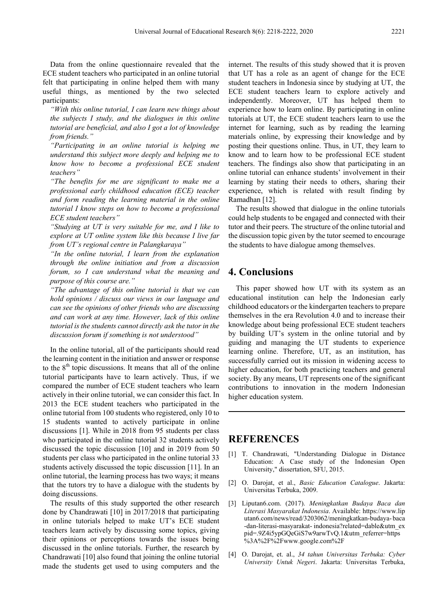Data from the online questionnaire revealed that the ECE student teachers who participated in an online tutorial felt that participating in online helped them with many useful things, as mentioned by the two selected participants:

*"With this online tutorial, I can learn new things about the subjects I study, and the dialogues in this online tutorial are beneficial, and also I got a lot of knowledge from friends."*

*"Participating in an online tutorial is helping me understand this subject more deeply and helping me to know how to become a professional ECE student teachers"*

*"The benefits for me are significant to make me a professional early childhood education (ECE) teacher and form reading the learning material in the online tutorial I know steps on how to become a professional ECE student teachers"*

*"Studying at UT is very suitable for me, and I like to explore at UT online system like this because I live far from UT's regional centre in Palangkaraya"*

*"In the online tutorial, I learn from the explanation through the online initiation and from a discussion forum, so I can understand what the meaning and purpose of this course are."*

*"The advantage of this online tutorial is that we can hold opinions / discuss our views in our language and can see the opinions of other friends who are discussing and can work at any time. However, lack of this online tutorial is the students cannot directly ask the tutor in the discussion forum if something is not understood"*

In the online tutorial, all of the participants should read the learning content in the initiation and answer or response to the  $8<sup>th</sup>$  topic discussions. It means that all of the online tutorial participants have to learn actively. Thus, if we compared the number of ECE student teachers who learn actively in their online tutorial, we can consider this fact. In 2013 the ECE student teachers who participated in the online tutorial from 100 students who registered, only 10 to 15 students wanted to actively participate in online discussions [1]. While in 2018 from 95 students per class who participated in the online tutorial 32 students actively discussed the topic discussion [10] and in 2019 from 50 students per class who participated in the online tutorial 33 students actively discussed the topic discussion [11]. In an online tutorial, the learning process has two ways; it means that the tutors try to have a dialogue with the students by doing discussions.

The results of this study supported the other research done by Chandrawati [10] in 2017/2018 that participating in online tutorials helped to make UT's ECE student teachers learn actively by discussing some topics, giving their opinions or perceptions towards the issues being discussed in the online tutorials. Further, the research by Chandrawati [10] also found that joining the online tutorial made the students get used to using computers and the

internet. The results of this study showed that it is proven that UT has a role as an agent of change for the ECE student teachers in Indonesia since by studying at UT, the ECE student teachers learn to explore actively and independently. Moreover, UT has helped them to experience how to learn online. By participating in online tutorials at UT, the ECE student teachers learn to use the internet for learning, such as by reading the learning materials online, by expressing their knowledge and by posting their questions online. Thus, in UT, they learn to know and to learn how to be professional ECE student teachers. The findings also show that participating in an online tutorial can enhance students' involvement in their learning by stating their needs to others, sharing their experience, which is related with result finding by Ramadhan [12].

The results showed that dialogue in the online tutorials could help students to be engaged and connected with their tutor and their peers. The structure of the online tutorial and the discussion topic given by the tutor seemed to encourage the students to have dialogue among themselves.

## **4. Conclusions**

This paper showed how UT with its system as an educational institution can help the Indonesian early childhood educators or the kindergarten teachers to prepare themselves in the era Revolution 4.0 and to increase their knowledge about being professional ECE student teachers by building UT's system in the online tutorial and by guiding and managing the UT students to experience learning online. Therefore, UT, as an institution, has successfully carried out its mission in widening access to higher education, for both practicing teachers and general society. By any means, UT represents one of the significant contributions to innovation in the modern Indonesian higher education system.

### **REFERENCES**

- [1] T. Chandrawati, "Understanding Dialogue in Distance Education: A Case study of the Indonesian Open University," dissertation, SFU, 2015.
- [2] O. Darojat, et al., *Basic Education Catalogue*. Jakarta: Universitas Terbuka, 2009.
- [3] Liputan6.com. (2017). *Meningkatkan Budaya Baca dan Literasi Masyarakat Indonesia*. Available: https://www.lip utan6.com/news/read/3203062/meningkatkan-budaya- baca -dan-literasi-masyarakat- indonesia?related=dable&utm\_ex pid=.9Z4i5ypGQeGiS7w9arwTvQ.1&utm\_referrer=https %3A%2F%2Fwww.google.com%2F
- [4] O. Darojat, et. al., *34 tahun Universitas Terbuka: Cyber University Untuk Negeri*. Jakarta: Universitas Terbuka,